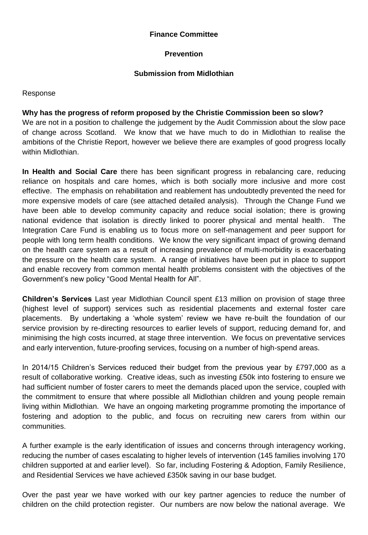### **Finance Committee**

### **Prevention**

### **Submission from Midlothian**

Response

### **Why has the progress of reform proposed by the Christie Commission been so slow?**

We are not in a position to challenge the judgement by the Audit Commission about the slow pace of change across Scotland. We know that we have much to do in Midlothian to realise the ambitions of the Christie Report, however we believe there are examples of good progress locally within Midlothian.

**In Health and Social Care** there has been significant progress in rebalancing care, reducing reliance on hospitals and care homes, which is both socially more inclusive and more cost effective. The emphasis on rehabilitation and reablement has undoubtedly prevented the need for more expensive models of care (see attached detailed analysis). Through the Change Fund we have been able to develop community capacity and reduce social isolation; there is growing national evidence that isolation is directly linked to poorer physical and mental health. The Integration Care Fund is enabling us to focus more on self-management and peer support for people with long term health conditions. We know the very significant impact of growing demand on the health care system as a result of increasing prevalence of multi-morbidity is exacerbating the pressure on the health care system. A range of initiatives have been put in place to support and enable recovery from common mental health problems consistent with the objectives of the Government's new policy "Good Mental Health for All".

**Children's Services** Last year Midlothian Council spent £13 million on provision of stage three (highest level of support) services such as residential placements and external foster care placements. By undertaking a 'whole system' review we have re-built the foundation of our service provision by re-directing resources to earlier levels of support, reducing demand for, and minimising the high costs incurred, at stage three intervention. We focus on preventative services and early intervention, future-proofing services, focusing on a number of high-spend areas.

In 2014/15 Children's Services reduced their budget from the previous year by £797,000 as a result of collaborative working. Creative ideas, such as investing £50k into fostering to ensure we had sufficient number of foster carers to meet the demands placed upon the service, coupled with the commitment to ensure that where possible all Midlothian children and young people remain living within Midlothian. We have an ongoing marketing programme promoting the importance of fostering and adoption to the public, and focus on recruiting new carers from within our communities.

A further example is the early identification of issues and concerns through interagency working, reducing the number of cases escalating to higher levels of intervention (145 families involving 170 children supported at and earlier level). So far, including Fostering & Adoption, Family Resilience, and Residential Services we have achieved £350k saving in our base budget.

Over the past year we have worked with our key partner agencies to reduce the number of children on the child protection register. Our numbers are now below the national average. We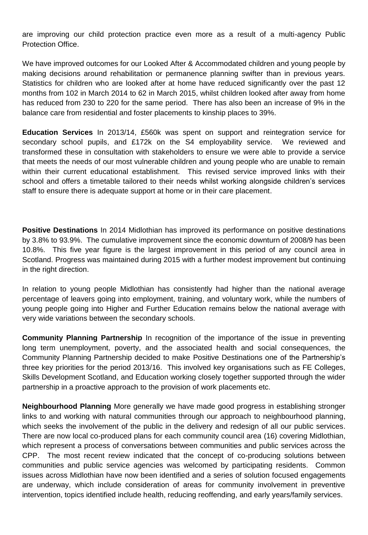are improving our child protection practice even more as a result of a multi-agency Public Protection Office.

We have improved outcomes for our Looked After & Accommodated children and young people by making decisions around rehabilitation or permanence planning swifter than in previous years. Statistics for children who are looked after at home have reduced significantly over the past 12 months from 102 in March 2014 to 62 in March 2015, whilst children looked after away from home has reduced from 230 to 220 for the same period. There has also been an increase of 9% in the balance care from residential and foster placements to kinship places to 39%.

**Education Services** In 2013/14, £560k was spent on support and reintegration service for secondary school pupils, and £172k on the S4 employability service. We reviewed and transformed these in consultation with stakeholders to ensure we were able to provide a service that meets the needs of our most vulnerable children and young people who are unable to remain within their current educational establishment. This revised service improved links with their school and offers a timetable tailored to their needs whilst working alongside children's services staff to ensure there is adequate support at home or in their care placement.

**Positive Destinations** In 2014 Midlothian has improved its performance on positive destinations by 3.8% to 93.9%. The cumulative improvement since the economic downturn of 2008/9 has been 10.8%. This five year figure is the largest improvement in this period of any council area in Scotland. Progress was maintained during 2015 with a further modest improvement but continuing in the right direction.

In relation to young people Midlothian has consistently had higher than the national average percentage of leavers going into employment, training, and voluntary work, while the numbers of young people going into Higher and Further Education remains below the national average with very wide variations between the secondary schools.

**Community Planning Partnership** In recognition of the importance of the issue in preventing long term unemployment, poverty, and the associated health and social consequences, the Community Planning Partnership decided to make Positive Destinations one of the Partnership's three key priorities for the period 2013/16. This involved key organisations such as FE Colleges, Skills Development Scotland, and Education working closely together supported through the wider partnership in a proactive approach to the provision of work placements etc.

**Neighbourhood Planning** More generally we have made good progress in establishing stronger links to and working with natural communities through our approach to neighbourhood planning, which seeks the involvement of the public in the delivery and redesign of all our public services. There are now local co-produced plans for each community council area (16) covering Midlothian, which represent a process of conversations between communities and public services across the CPP. The most recent review indicated that the concept of co-producing solutions between communities and public service agencies was welcomed by participating residents. Common issues across Midlothian have now been identified and a series of solution focused engagements are underway, which include consideration of areas for community involvement in preventive intervention, topics identified include health, reducing reoffending, and early years/family services.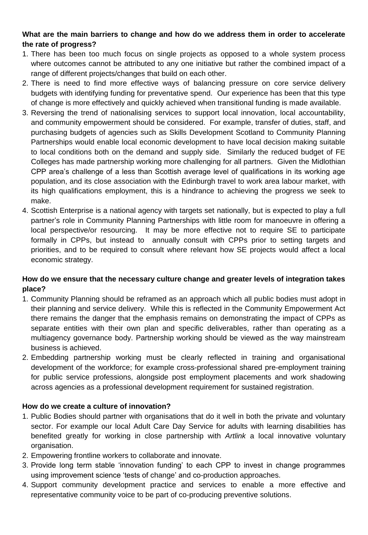# **What are the main barriers to change and how do we address them in order to accelerate the rate of progress?**

- 1. There has been too much focus on single projects as opposed to a whole system process where outcomes cannot be attributed to any one initiative but rather the combined impact of a range of different projects/changes that build on each other.
- 2. There is need to find more effective ways of balancing pressure on core service delivery budgets with identifying funding for preventative spend. Our experience has been that this type of change is more effectively and quickly achieved when transitional funding is made available.
- 3. Reversing the trend of nationalising services to support local innovation, local accountability, and community empowerment should be considered. For example, transfer of duties, staff, and purchasing budgets of agencies such as Skills Development Scotland to Community Planning Partnerships would enable local economic development to have local decision making suitable to local conditions both on the demand and supply side. Similarly the reduced budget of FE Colleges has made partnership working more challenging for all partners. Given the Midlothian CPP area's challenge of a less than Scottish average level of qualifications in its working age population, and its close association with the Edinburgh travel to work area labour market, with its high qualifications employment, this is a hindrance to achieving the progress we seek to make.
- 4. Scottish Enterprise is a national agency with targets set nationally, but is expected to play a full partner's role in Community Planning Partnerships with little room for manoeuvre in offering a local perspective/or resourcing. It may be more effective not to require SE to participate formally in CPPs, but instead to annually consult with CPPs prior to setting targets and priorities, and to be required to consult where relevant how SE projects would affect a local economic strategy.

# **How do we ensure that the necessary culture change and greater levels of integration takes place?**

- 1. Community Planning should be reframed as an approach which all public bodies must adopt in their planning and service delivery. While this is reflected in the Community Empowerment Act there remains the danger that the emphasis remains on demonstrating the impact of CPPs as separate entities with their own plan and specific deliverables, rather than operating as a multiagency governance body. Partnership working should be viewed as the way mainstream business is achieved.
- 2. Embedding partnership working must be clearly reflected in training and organisational development of the workforce; for example cross-professional shared pre-employment training for public service professions, alongside post employment placements and work shadowing across agencies as a professional development requirement for sustained registration.

# **How do we create a culture of innovation?**

- 1. Public Bodies should partner with organisations that do it well in both the private and voluntary sector. For example our local Adult Care Day Service for adults with learning disabilities has benefited greatly for working in close partnership with *Artlink* a local innovative voluntary organisation.
- 2. Empowering frontline workers to collaborate and innovate.
- 3. Provide long term stable 'innovation funding' to each CPP to invest in change programmes using improvement science 'tests of change' and co-production approaches.
- 4. Support community development practice and services to enable a more effective and representative community voice to be part of co-producing preventive solutions.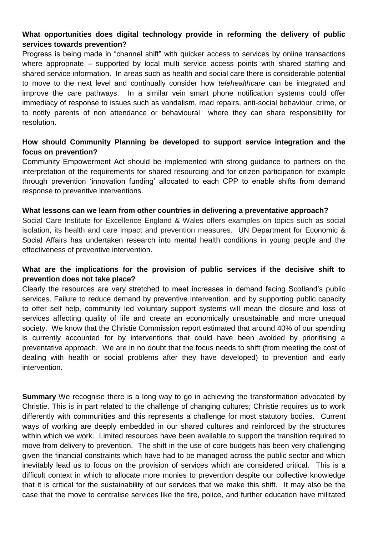## **What opportunities does digital technology provide in reforming the delivery of public services towards prevention?**

Progress is being made in "channel shift" with quicker access to services by online transactions where appropriate – supported by local multi service access points with shared staffing and shared service information. In areas such as health and social care there is considerable potential to move to the next level and continually consider how *telehealthcare* can be integrated and improve the care pathways. In a similar vein smart phone notification systems could offer immediacy of response to issues such as vandalism, road repairs, anti-social behaviour, crime, or to notify parents of non attendance or behavioural where they can share responsibility for resolution.

## **How should Community Planning be developed to support service integration and the focus on prevention?**

Community Empowerment Act should be implemented with strong guidance to partners on the interpretation of the requirements for shared resourcing and for citizen participation for example through prevention 'innovation funding' allocated to each CPP to enable shifts from demand response to preventive interventions.

#### **What lessons can we learn from other countries in delivering a preventative approach?**

Social Care Institute for Excellence England & Wales offers examples on topics such as social isolation, its health and care impact and prevention measures. UN Department for Economic & Social Affairs has undertaken research into mental health conditions in young people and the effectiveness of preventive intervention.

## **What are the implications for the provision of public services if the decisive shift to prevention does not take place?**

Clearly the resources are very stretched to meet increases in demand facing Scotland's public services. Failure to reduce demand by preventive intervention, and by supporting public capacity to offer self help, community led voluntary support systems will mean the closure and loss of services affecting quality of life and create an economically unsustainable and more unequal society. We know that the Christie Commission report estimated that around 40% of our spending is currently accounted for by interventions that could have been avoided by prioritising a preventative approach. We are in no doubt that the focus needs to shift (from meeting the cost of dealing with health or social problems after they have developed) to prevention and early intervention.

**Summary** We recognise there is a long way to go in achieving the transformation advocated by Christie. This is in part related to the challenge of changing cultures; Christie requires us to work differently with communities and this represents a challenge for most statutory bodies. Current ways of working are deeply embedded in our shared cultures and reinforced by the structures within which we work. Limited resources have been available to support the transition required to move from delivery to prevention. The shift in the use of core budgets has been very challenging given the financial constraints which have had to be managed across the public sector and which inevitably lead us to focus on the provision of services which are considered critical. This is a difficult context in which to allocate more monies to prevention despite our collective knowledge that it is critical for the sustainability of our services that we make this shift. It may also be the case that the move to centralise services like the fire, police, and further education have militated